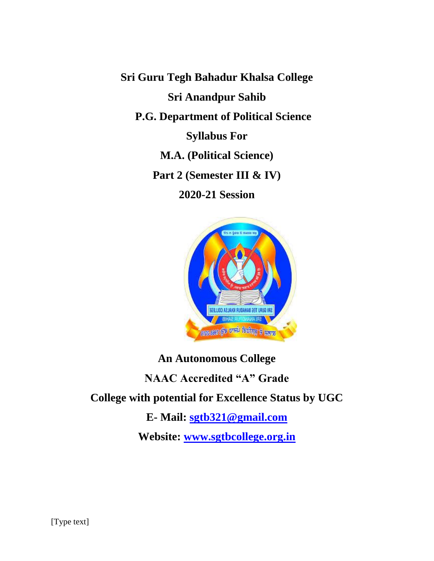**Sri Guru Tegh Bahadur Khalsa College Sri Anandpur Sahib P.G. Department of Political Science Syllabus For M.A. (Political Science) Part 2 (Semester III & IV) 2020-21 Session**



# **An Autonomous College NAAC Accredited "A" Grade College with potential for Excellence Status by UGC E- Mail: [sgtb321@gmail.com](mailto:sgtb321@gmail.com) Website: [www.sgtbcollege.org.in](http://www.sgtbcollege.org.in/)**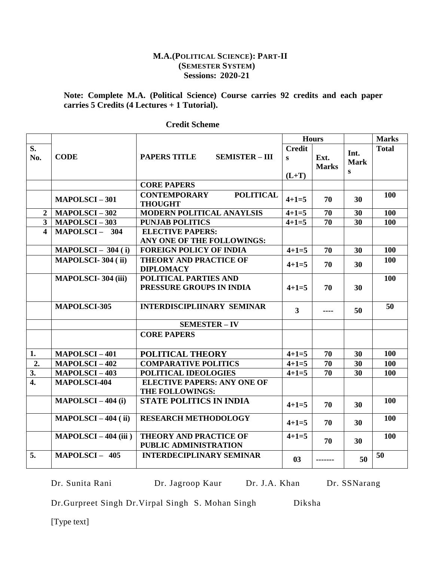# **M.A.(POLITICAL SCIENCE): PART-II (SEMESTER SYSTEM) Sessions: 2020-21**

# **Note: Complete M.A. (Political Science) Course carries 92 credits and each paper carries 5 Credits (4 Lectures + 1 Tutorial).**

|                                  |                           | <b>Credit</b><br><b>PAPERS TITLE</b><br><b>SEMISTER - III</b><br>S<br>$(L+T)$ |              | <b>Hours</b>         |                          | <b>Marks</b> |
|----------------------------------|---------------------------|-------------------------------------------------------------------------------|--------------|----------------------|--------------------------|--------------|
| $\overline{\mathbf{S}}$ .<br>No. | <b>CODE</b>               |                                                                               |              | Ext.<br><b>Marks</b> | Int.<br><b>Mark</b><br>S | <b>Total</b> |
|                                  |                           | <b>CORE PAPERS</b>                                                            |              |                      |                          |              |
|                                  | <b>MAPOLSCI-301</b>       | <b>POLITICAL</b><br><b>CONTEMPORARY</b><br><b>THOUGHT</b>                     | $4 + 1 = 5$  | 70                   | 30                       | 100          |
| $\overline{2}$                   | <b>MAPOLSCI-302</b>       | MODERN POLITICAL ANAYLSIS                                                     | $4 + 1 = 5$  | 70                   | 30                       | 100          |
| $\overline{3}$                   | $MAPOLSCI-303$            | <b>PUNJAB POLITICS</b>                                                        | $4 + 1 = 5$  | $\overline{70}$      | $\overline{30}$          | 100          |
| $\overline{\mathbf{4}}$          | MAPOLSCI-304              | <b>ELECTIVE PAPERS:</b><br>ANY ONE OF THE FOLLOWINGS:                         |              |                      |                          |              |
|                                  | $MAPOLSCI - 304(i)$       | <b>FOREIGN POLICY OF INDIA</b>                                                | $4 + 1 = 5$  | 70                   | 30                       | <b>100</b>   |
|                                  | <b>MAPOLSCI-304 (ii)</b>  | <b>THEORY AND PRACTICE OF</b><br><b>DIPLOMACY</b>                             | $4 + 1 = 5$  | 70                   | 30                       | 100          |
|                                  | <b>MAPOLSCI-304 (iii)</b> | POLITICAL PARTIES AND<br>PRESSURE GROUPS IN INDIA                             | $4 + 1 = 5$  | 70                   | 30                       | 100          |
|                                  | <b>MAPOLSCI-305</b>       | <b>INTERDISCIPLIINARY SEMINAR</b>                                             | $\mathbf{3}$ |                      | 50                       | 50           |
|                                  |                           | <b>SEMESTER - IV</b>                                                          |              |                      |                          |              |
|                                  |                           | <b>CORE PAPERS</b>                                                            |              |                      |                          |              |
| 1.                               | <b>MAPOLSCI-401</b>       | POLITICAL THEORY                                                              | $4 + 1 = 5$  | 70                   | 30                       | 100          |
| 2.                               | <b>MAPOLSCI-402</b>       | <b>COMPARATIVE POLITICS</b>                                                   | $4 + 1 = 5$  | 70                   | 30                       | 100          |
| 3.                               | <b>MAPOLSCI-403</b>       | POLITICAL IDEOLOGIES                                                          | $4 + 1 = 5$  | 70                   | 30                       | 100          |
| $\overline{4}$ .                 | MAPOLSCI-404              | <b>ELECTIVE PAPERS: ANY ONE OF</b><br>THE FOLLOWINGS:                         |              |                      |                          |              |
|                                  | $MAPOLSCI - 404$ (i)      | <b>STATE POLITICS IN INDIA</b>                                                | $4 + 1 = 5$  | 70                   | 30                       | 100          |
|                                  | $MAPOLSCI - 404$ (ii)     | <b>RESEARCH METHODOLOGY</b>                                                   | $4 + 1 = 5$  | 70                   | 30                       | 100          |
|                                  | $MAPOLSCI - 404$ (iii)    | <b>THEORY AND PRACTICE OF</b><br>PUBLIC ADMINISTRATION                        | $4 + 1 = 5$  | 70                   | 30                       | 100          |
| 5.                               | $MAPOLSCI - 405$          | <b>INTERDECIPLINARY SEMINAR</b>                                               | 03           |                      | 50                       | 50           |

 **Credit Scheme**

Dr. Sunita Rani Dr. Jagroop Kaur Dr. J.A. Khan Dr. SSNarang

Dr.Gurpreet Singh Dr.Virpal Singh S. Mohan Singh Diksha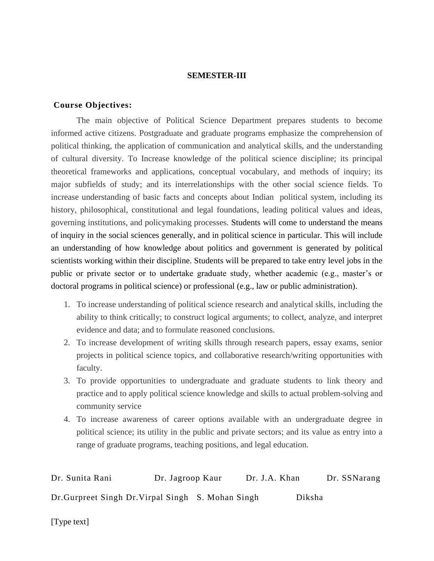#### **SEMESTER-III**

#### **Course Objectives:**

The main objective of Political Science Department prepares students to become informed active citizens. Postgraduate and graduate programs emphasize the comprehension of political thinking, the application of communication and analytical skills, and the understanding of cultural diversity. To Increase knowledge of the political science discipline; its principal theoretical frameworks and applications, conceptual vocabulary, and methods of inquiry; its major subfields of study; and its interrelationships with the other social science fields. To increase understanding of basic facts and concepts about Indian political system, including its history, philosophical, constitutional and legal foundations, leading political values and ideas, governing institutions, and policymaking processes. Students will come to understand the means of inquiry in the social sciences generally, and in political science in particular. This will include an understanding of how knowledge about politics and government is generated by political scientists working within their discipline. Students will be prepared to take entry level jobs in the public or private sector or to undertake graduate study, whether academic (e.g., master's or doctoral programs in political science) or professional (e.g., law or public administration).

- 1. To increase understanding of political science research and analytical skills, including the ability to think critically; to construct logical arguments; to collect, analyze, and interpret evidence and data; and to formulate reasoned conclusions.
- 2. To increase development of writing skills through research papers, essay exams, senior projects in political science topics, and collaborative research/writing opportunities with faculty.
- 3. To provide opportunities to undergraduate and graduate students to link theory and practice and to apply political science knowledge and skills to actual problem-solving and community service
- 4. To increase awareness of career options available with an undergraduate degree in political science; its utility in the public and private sectors; and its value as entry into a range of graduate programs, teaching positions, and legal education.

| Dr. Sunita Rani                                    | Dr. Jagroop Kaur | Dr. J.A. Khan |        | Dr. SSNarang |
|----------------------------------------------------|------------------|---------------|--------|--------------|
| Dr. Gurpreet Singh Dr. Virpal Singh S. Mohan Singh |                  |               | Diksha |              |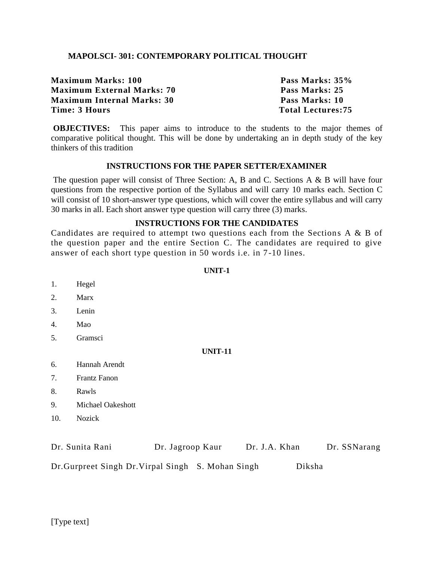# **MAPOLSCI- 301: CONTEMPORARY POLITICAL THOUGHT**

| Pass Marks: 35%          |
|--------------------------|
| Pass Marks: 25           |
| Pass Marks: 10           |
| <b>Total Lectures:75</b> |
|                          |

**OBJECTIVES:** This paper aims to introduce to the students to the major themes of comparative political thought. This will be done by undertaking an in depth study of the key thinkers of this tradition

#### **INSTRUCTIONS FOR THE PAPER SETTER/EXAMINER**

The question paper will consist of Three Section: A, B and C. Sections A & B will have four questions from the respective portion of the Syllabus and will carry 10 marks each. Section C will consist of 10 short-answer type questions, which will cover the entire syllabus and will carry 30 marks in all. Each short answer type question will carry three (3) marks.

# **INSTRUCTIONS FOR THE CANDIDATES**

Candidates are required to attempt two questions each from the Sections  $A \& B$  of the question paper and the entire Section C. The candidates are required to give answer of each short type question in 50 words i.e. in 7 -10 lines.

#### **UNIT-1**

- 1. Hegel
- 2. Marx
- 3. Lenin
- 4. Mao
- 5. Gramsci

#### **UNIT-11**

- 6. Hannah Arendt
- 7. Frantz Fanon
- 8. Rawls
- 9. Michael Oakeshott
- 10. Nozick

| Dr. Sunita Rani                                    | Dr. Jagroop Kaur | Dr. J.A. Khan | Dr. SSNarang |
|----------------------------------------------------|------------------|---------------|--------------|
| Dr. Gurpreet Singh Dr. Virpal Singh S. Mohan Singh |                  |               | Diksha       |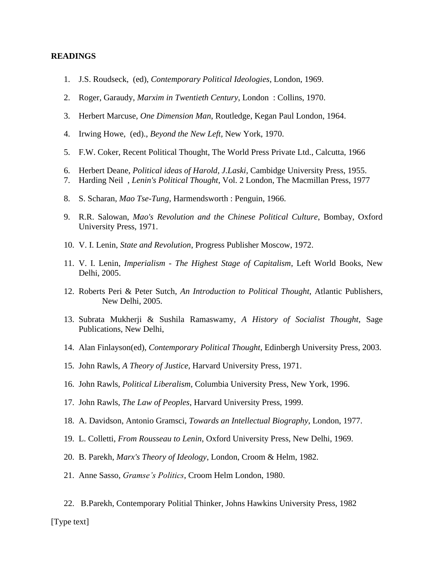- 1. J.S. Roudseck, (ed), *Contemporary Political Ideologies*, London, 1969.
- 2. Roger, Garaudy, *Marxim in Twentieth Century*, London : Collins, 1970.
- 3. Herbert Marcuse, *One Dimension Man*, Routledge, Kegan Paul London, 1964.
- 4. Irwing Howe, (ed)., *Beyond the New Left*, New York, 1970.
- 5. F.W. Coker, Recent Political Thought, The World Press Private Ltd., Calcutta, 1966
- 6. Herbert Deane, *Political ideas of Harold, J.Laski*, Cambidge University Press, 1955.
- 7. Harding Neil , *Lenin's Political Thought*, Vol. 2 London, The Macmillan Press, 1977
- 8. S. Scharan, *Mao Tse-Tung*, Harmendsworth : Penguin, 1966.
- 9. R.R. Salowan, *Mao's Revolution and the Chinese Political Culture*, Bombay, Oxford University Press, 1971.
- 10. V. I. Lenin, *State and Revolution*, Progress Publisher Moscow, 1972.
- 11. V. I. Lenin, *Imperialism - The Highest Stage of Capitalism*, Left World Books, New Delhi, 2005.
- 12. Roberts Peri & Peter Sutch, *An Introduction to Political Thought*, Atlantic Publishers, New Delhi, 2005.
- 13. Subrata Mukherji & Sushila Ramaswamy, *A History of Socialist Thought*, Sage Publications, New Delhi,
- 14. Alan Finlayson(ed), *Contemporary Political Thought*, Edinbergh University Press, 2003.
- 15. John Rawls, *A Theory of Justice*, Harvard University Press, 1971.
- 16. John Rawls, *Political Liberalism*, Columbia University Press, New York, 1996.
- 17. John Rawls, *The Law of Peoples*, Harvard University Press, 1999.
- 18. A. Davidson, Antonio Gramsci, *Towards an Intellectual Biography*, London, 1977.
- 19. L. Colletti, *From Rousseau to Lenin*, Oxford University Press, New Delhi, 1969.
- 20. B. Parekh, *Marx's Theory of Ideology*, London, Croom & Helm, 1982.
- 21. Anne Sasso, *Gramse's Politics*, Croom Helm London, 1980.
- 22. B.Parekh, Contemporary Politial Thinker, Johns Hawkins University Press, 1982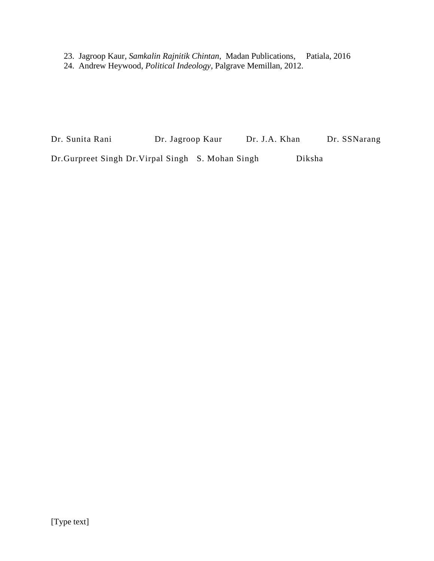23. Jagroop Kaur, *Samkalin Rajnitik Chintan*, Madan Publications, Patiala, 2016 24. Andrew Heywood, *Political Indeology*, Palgrave Memillan, 2012.

Dr. Sunita Rani Dr. Jagroop Kaur Dr. J.A. Khan Dr. SSNarang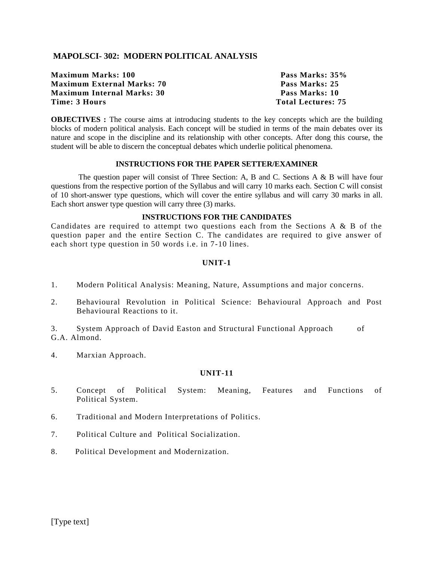# **MAPOLSCI- 302: MODERN POLITICAL ANALYSIS**

**Maximum Marks: 100 Pass Marks: 35% Maximum External Marks: 70 Pass Marks: 25 Maximum Internal Marks: 30 Pass Marks: 10 Time: 3 Hours Total Lectures: 75**

**OBJECTIVES** : The course aims at introducing students to the key concepts which are the building blocks of modern political analysis. Each concept will be studied in terms of the main debates over its nature and scope in the discipline and its relationship with other concepts. After dong this course, the student will be able to discern the conceptual debates which underlie political phenomena.

# **INSTRUCTIONS FOR THE PAPER SETTER/EXAMINER**

The question paper will consist of Three Section: A, B and C. Sections A & B will have four questions from the respective portion of the Syllabus and will carry 10 marks each. Section C will consist of 10 short-answer type questions, which will cover the entire syllabus and will carry 30 marks in all. Each short answer type question will carry three (3) marks.

#### **INSTRUCTIONS FOR THE CANDIDATES**

Candidates are required to attempt two questions each from the Sections A & B of the question paper and the entire Section C. The candidates are required to give answer of each short type question in 50 words i.e. in 7-10 lines.

#### **UNIT-1**

- 1. Modern Political Analysis: Meaning, Nature, Assumptions and major concerns.
- 2. Behavioural Revolution in Political Science: Behavioural Approach and Post Behavioural Reactions to it.

3. System Approach of David Easton and Structural Functional Approach of G.A. Almond.

4. Marxian Approach.

#### **UNIT-11**

- 5. Concept of Political System: Meaning, Features and Functions of Political System.
- 6. Traditional and Modern Interpretations of Politics.
- 7. Political Culture and Political Socialization.
- 8. Political Development and Modernization.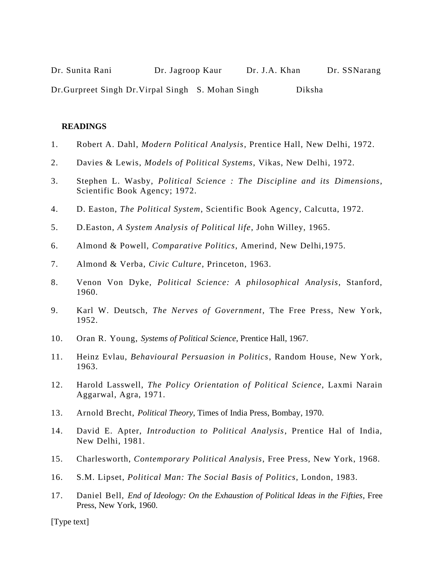| Dr. Sunita Rani                                    | Dr. Jagroop Kaur | Dr. J.A. Khan |        | Dr. SSNarang |
|----------------------------------------------------|------------------|---------------|--------|--------------|
| Dr. Gurpreet Singh Dr. Virpal Singh S. Mohan Singh |                  |               | Diksha |              |

- 1. Robert A. Dahl, *Modern Political Analysis*, Prentice Hall, New Delhi, 1972.
- 2. Davies & Lewis, *Models of Political Systems*, Vikas, New Delhi, 1972.
- 3. Stephen L. Wasby, *Political Science : The Discipline and its Dimensions*, Scientific Book Agency; 1972.
- 4. D. Easton, *The Political System*, Scientific Book Agency, Calcutta, 1972.
- 5. D.Easton, *A System Analysis of Political life*, John Willey, 1965.
- 6. Almond & Powell, *Comparative Politics*, Amerind, New Delhi,1975.
- 7. Almond & Verba, *Civic Culture*, Princeton, 1963.
- 8. Venon Von Dyke, *Political Science: A philosophical Analysis*, Stanford, 1960.
- 9. Karl W. Deutsch, *The Nerves of Government*, The Free Press, New York, 1952.
- 10. Oran R. Young, *Systems of Political Science*, Prentice Hall, 1967.
- 11. Heinz Evlau, *Behavioural Persuasion in Politics*, Random House, New York, 1963.
- 12. Harold Lasswell, *The Policy Orientation of Political Science*, Laxmi Narain Aggarwal, Agra, 1971.
- 13. Arnold Brecht, *Political Theory*, Times of India Press, Bombay, 1970.
- 14. David E. Apter, *Introduction to Political Analysis*, Prentice Hal of India, New Delhi, 1981.
- 15. Charlesworth, *Contemporary Political Analysis*, Free Press, New York, 1968.
- 16. S.M. Lipset, *Political Man: The Social Basis of Politics*, London, 1983.
- 17. Daniel Bell, *End of Ideology: On the Exhaustion of Political Ideas in the Fifties*, Free Press, New York, 1960.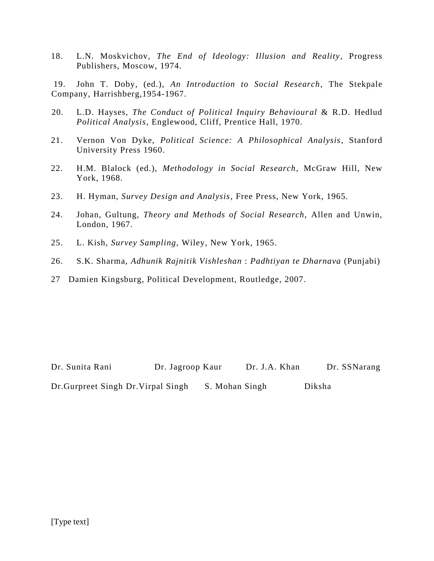18. L.N. Moskvichov, *The End of Ideology: Illusion and Reality*, Progress Publishers, Moscow, 1974.

19. John T. Doby, (ed.), *An Introduction to Social Research*, The Stekpale Company, Harrishberg,1954-1967.

- 20. L.D. Hayses, *The Conduct of Political Inquiry Behavioural* & R.D. Hedlud *Political Analysis*, Englewood, Cliff, Prentice Hall, 1970.
- 21. Vernon Von Dyke, *Political Science: A Philosophical Analysis*, Stanford University Press 1960.
- 22. H.M. Blalock (ed.), *Methodology in Social Research*, McGraw Hill, New York, 1968.
- 23. H. Hyman, *Survey Design and Analysis*, Free Press, New York, 1965.
- 24. Johan, Gultung, *Theory and Methods of Social Research,* Allen and Unwin, London, 1967.
- 25. L. Kish, *Survey Sampling*, Wiley, New York, 1965.
- 26. S.K. Sharma, *Adhunik Rajnitik Vishleshan* : *Padhtiyan te Dharnava* (Punjabi)
- 27 Damien Kingsburg, Political Development, Routledge, 2007.

Dr. Sunita Rani Dr. Jagroop Kaur Dr. J.A. Khan Dr. SSNarang Dr.Gurpreet Singh Dr.Virpal Singh S. Mohan Singh Diksha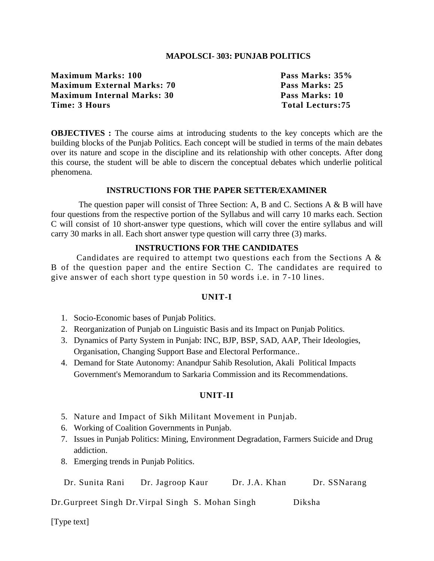# **MAPOLSCI- 303: PUNJAB POLITICS**

**Maximum Marks: 100 Pass Marks: 35% Maximum External Marks: 70 Pass Marks: 25 Maximum Internal Marks: 30 Pass Marks: 10** Time: 3 Hours Total Lecturs: 75

**OBJECTIVES :** The course aims at introducing students to the key concepts which are the building blocks of the Punjab Politics. Each concept will be studied in terms of the main debates over its nature and scope in the discipline and its relationship with other concepts. After dong this course, the student will be able to discern the conceptual debates which underlie political phenomena.

#### **INSTRUCTIONS FOR THE PAPER SETTER/EXAMINER**

The question paper will consist of Three Section: A, B and C. Sections A & B will have four questions from the respective portion of the Syllabus and will carry 10 marks each. Section C will consist of 10 short-answer type questions, which will cover the entire syllabus and will carry 30 marks in all. Each short answer type question will carry three (3) marks.

#### **INSTRUCTIONS FOR THE CANDIDATES**

Candidates are required to attempt two questions each from the Sections A  $\&$ B of the question paper and the entire Section C. The candidates are required to give answer of each short type question in 50 words i.e. in 7 -10 lines.

#### **UNIT-I**

- 1. Socio-Economic bases of Punjab Politics.
- 2. Reorganization of Punjab on Linguistic Basis and its Impact on Punjab Politics.
- 3. Dynamics of Party System in Punjab: INC, BJP, BSP, SAD, AAP, Their Ideologies, Organisation, Changing Support Base and Electoral Performance..
- 4. Demand for State Autonomy: Anandpur Sahib Resolution, Akali Political Impacts Government's Memorandum to Sarkaria Commission and its Recommendations.

#### **UNIT-II**

- 5. Nature and Impact of Sikh Militant Movement in Punjab.
- 6. Working of Coalition Governments in Punjab.
- 7. Issues in Punjab Politics: Mining, Environment Degradation, Farmers Suicide and Drug addiction.
- 8. Emerging trends in Punjab Politics.

Dr. Sunita Rani Dr. Jagroop Kaur Dr. J.A. Khan Dr. SSNarang

Dr.Gurpreet Singh Dr.Virpal Singh S. Mohan Singh Diksha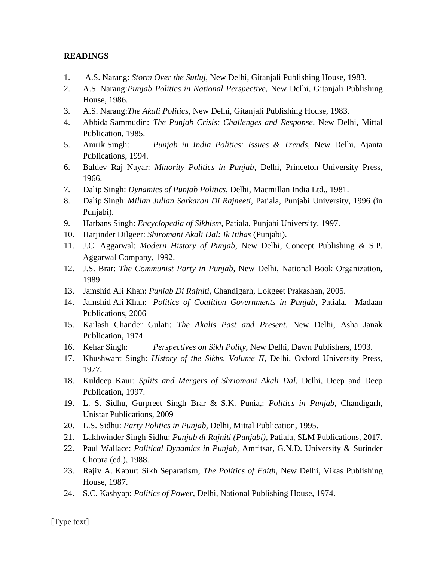- 1. A.S. Narang: *Storm Over the Sutluj,* New Delhi, Gitanjali Publishing House, 1983.
- 2. A.S. Narang:*Punjab Politics in National Perspective,* New Delhi, Gitanjali Publishing House, 1986.
- 3. A.S. Narang:*The Akali Politics,* New Delhi, Gitanjali Publishing House, 1983.
- 4. Abbida Sammudin: *The Punjab Crisis: Challenges and Response,* New Delhi, Mittal Publication, 1985.
- 5. Amrik Singh: *Punjab in India Politics: Issues & Trends,* New Delhi, Ajanta Publications, 1994.
- 6. Baldev Raj Nayar: *Minority Politics in Punjab,* Delhi*,* Princeton University Press, 1966.
- 7. Dalip Singh: *Dynamics of Punjab Politics,* Delhi, Macmillan India Ltd., 1981.
- 8. Dalip Singh: *Milian Julian Sarkaran Di Rajneeti,* Patiala, Punjabi University, 1996 (in Punjabi).
- 9. Harbans Singh: *Encyclopedia of Sikhism,* Patiala, Punjabi University, 1997.
- 10. Harjinder Dilgeer: *Shiromani Akali Dal: Ik Itihas* (Punjabi).
- 11. J.C. Aggarwal: *Modern History of Punjab,* New Delhi, Concept Publishing & S.P. Aggarwal Company, 1992.
- 12. J.S. Brar: *The Communist Party in Punjab,* New Delhi, National Book Organization, 1989.
- 13. Jamshid Ali Khan: *Punjab Di Rajniti,* Chandigarh, Lokgeet Prakashan, 2005.
- 14. Jamshid Ali Khan: *Politics of Coalition Governments in Punjab*, Patiala. Madaan Publications, 2006
- 15. Kailash Chander Gulati: *The Akalis Past and Present,* New Delhi, Asha Janak Publication, 1974.
- 16. Kehar Singh: *Perspectives on Sikh Polity,* New Delhi, Dawn Publishers, 1993.
- 17. Khushwant Singh: *History of the Sikhs, Volume II,* Delhi, Oxford University Press, 1977.
- 18. Kuldeep Kaur: *Splits and Mergers of Shriomani Akali Dal,* Delhi, Deep and Deep Publication, 1997.
- 19. L. S. Sidhu, Gurpreet Singh Brar & S.K. Punia,: *Politics in Punjab*, Chandigarh, Unistar Publications, 2009
- 20. L.S. Sidhu: *Party Politics in Punjab,* Delhi*,* Mittal Publication, 1995.
- 21. Lakhwinder Singh Sidhu: *Punjab di Rajniti (Punjabi),* Patiala, SLM Publications, 2017.
- 22. Paul Wallace: *Political Dynamics in Punjab,* Amritsar, G.N.D. University & Surinder Chopra (ed.), 1988.
- 23. Rajiv A. Kapur: Sikh Separatism, *The Politics of Faith,* New Delhi, Vikas Publishing House, 1987.
- 24. S.C. Kashyap: *Politics of Power,* Delhi, National Publishing House, 1974.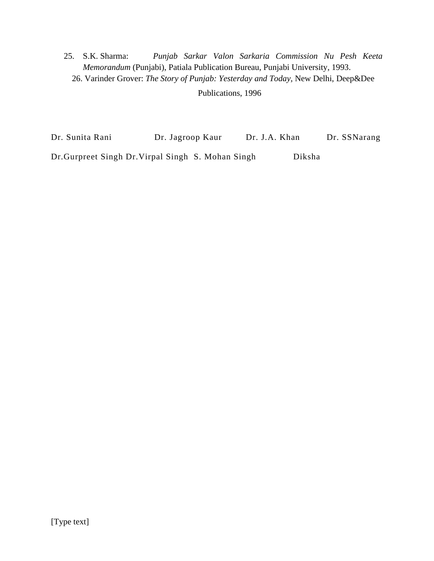25. S.K. Sharma: *Punjab Sarkar Valon Sarkaria Commission Nu Pesh Keeta Memorandum* (Punjabi), Patiala Publication Bureau, Punjabi University, 1993. 26. Varinder Grover: *The Story of Punjab: Yesterday and Today,* New Delhi, Deep&Dee

Publications, 1996

Dr. Sunita Rani Dr. Jagroop Kaur Dr. J.A. Khan Dr. SSNarang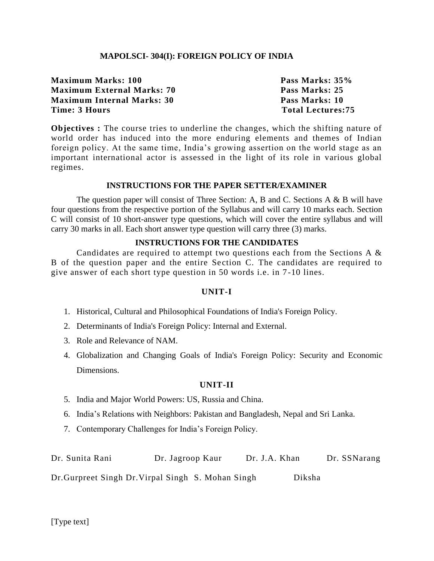# **MAPOLSCI- 304(I): FOREIGN POLICY OF INDIA**

**Maximum Marks: 100 Pass Marks: 35% Maximum External Marks: 70 Pass Marks: 25 Maximum Internal Marks: 30 Pass Marks: 10 Time: 3 Hours Total Lectures: 75** 

**Objectives :** The course tries to underline the changes, which the shifting nature of world order has induced into the more enduring elements and themes of Indian foreign policy. At the same time, India's growing assertion on the world stage as an important international actor is assessed in the light of its role in various global regimes.

# **INSTRUCTIONS FOR THE PAPER SETTER/EXAMINER**

The question paper will consist of Three Section: A, B and C. Sections A & B will have four questions from the respective portion of the Syllabus and will carry 10 marks each. Section C will consist of 10 short-answer type questions, which will cover the entire syllabus and will carry 30 marks in all. Each short answer type question will carry three (3) marks.

# **INSTRUCTIONS FOR THE CANDIDATES**

Candidates are required to attempt two questions each from the Sections A & B of the question paper and the entire Section C. The candidates are required to give answer of each short type question in 50 words i.e. in 7 -10 lines.

#### **UNIT-I**

- 1. Historical, Cultural and Philosophical Foundations of India's Foreign Policy.
- 2. Determinants of India's Foreign Policy: Internal and External.
- 3. Role and Relevance of NAM.
- 4. Globalization and Changing Goals of India's Foreign Policy: Security and Economic Dimensions.

#### **UNIT-II**

- 5. India and Major World Powers: US, Russia and China.
- 6. India's Relations with Neighbors: Pakistan and Bangladesh, Nepal and Sri Lanka.
- 7. Contemporary Challenges for India's Foreign Policy.

Dr. Sunita Rani Dr. Jagroop Kaur Dr. J.A. Khan Dr. SSNarang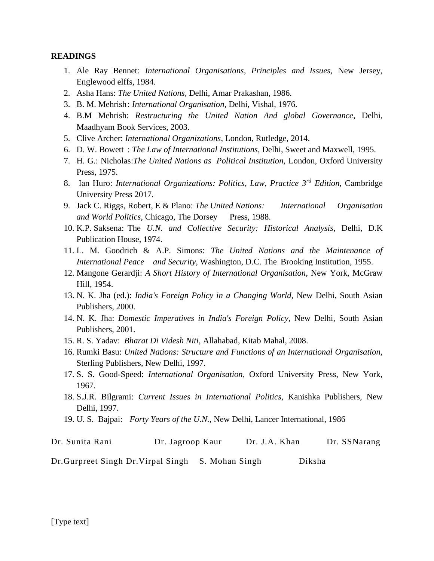- 1. Ale Ray Bennet: *International Organisations, Principles and Issues,* New Jersey, Englewood elffs, 1984.
- 2. Asha Hans: *The United Nations,* Delhi, Amar Prakashan, 1986.
- 3. B. M. Mehrish: *International Organisation,* Delhi, Vishal, 1976.
- 4. B.M Mehrish: *Restructuring the United Nation And global Governance*, Delhi, Maadhyam Book Services, 2003.
- 5. Clive Archer: *International Organizations*, London, Rutledge, 2014.
- 6. D. W. Bowett : *The Law of International Institutions,* Delhi, Sweet and Maxwell, 1995.
- 7. H. G.: Nicholas:*The United Nations as Political Institution,* London, Oxford University Press, 1975.
- 8. Ian Huro: *International Organizations: Politics, Law, Practice 3rd Edition*, Cambridge University Press 2017.
- 9. Jack C. Riggs, Robert, E & Plano: *The United Nations: International Organisation*  and World Politics, Chicago, The Dorsey Press, 1988.
- 10. K.P. Saksena: The *U.N. and Collective Security: Historical Analysis*, Delhi, D.K Publication House, 1974.
- 11. L. M. Goodrich & A.P. Simons: *The United Nations and the Maintenance of International Peace and Security,* Washington, D.C. The Brooking Institution, 1955.
- 12. Mangone Gerardji: *A Short History of International Organisation,* New York, McGraw Hill, 1954.
- 13. N. K. Jha (ed.): *India's Foreign Policy in a Changing World,* New Delhi, South Asian Publishers, 2000.
- 14. N. K. Jha: *Domestic Imperatives in India's Foreign Policy,* New Delhi, South Asian Publishers, 2001.
- 15. R. S. Yadav: *Bharat Di Videsh Niti,* Allahabad, Kitab Mahal, 2008.
- 16. Rumki Basu: *United Nations: Structure and Functions of an International Organisation,*  Sterling Publishers, New Delhi, 1997.
- 17. S. S. Good-Speed: *International Organisation,* Oxford University Press, New York, 1967.
- 18. S.J.R. Bilgrami: *Current Issues in International Politics,* Kanishka Publishers, New Delhi, 1997.
- 19. U. S. Bajpai: *Forty Years of the U.N.,* New Delhi, Lancer International, 1986

| Dr. Sunita Rani | Dr. Jagroop Kaur | Dr. J.A. Khan | Dr. SSNarang |
|-----------------|------------------|---------------|--------------|
|                 |                  |               |              |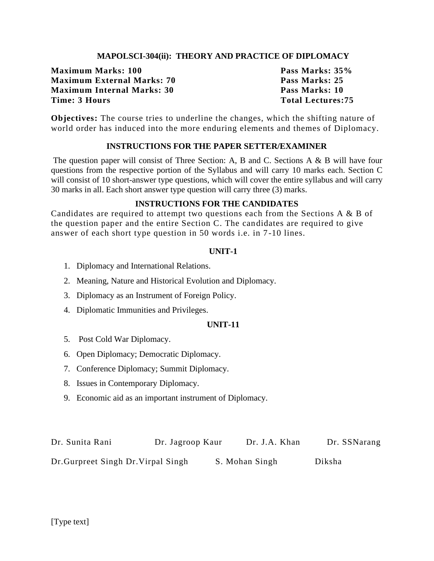# **MAPOLSCI-304(ii): THEORY AND PRACTICE OF DIPLOMACY**

**Maximum Marks: 100 Pass Marks: 35% Maximum External Marks: 70 Pass Marks: 25 Maximum Internal Marks: 30 Pass Marks: 10 Time: 3 Hours Total Lectures:75**

**Objectives:** The course tries to underline the changes, which the shifting nature of world order has induced into the more enduring elements and themes of Diplomacy.

# **INSTRUCTIONS FOR THE PAPER SETTER/EXAMINER**

The question paper will consist of Three Section: A, B and C. Sections A & B will have four questions from the respective portion of the Syllabus and will carry 10 marks each. Section C will consist of 10 short-answer type questions, which will cover the entire syllabus and will carry 30 marks in all. Each short answer type question will carry three (3) marks.

#### **INSTRUCTIONS FOR THE CANDIDATES**

Candidates are required to attempt two questions each from the Sections A & B of the question paper and the entire Section C. The candidates are required to give answer of each short type question in 50 words i.e. in 7 -10 lines.

#### **UNIT-1**

- 1. Diplomacy and International Relations.
- 2. Meaning, Nature and Historical Evolution and Diplomacy.
- 3. Diplomacy as an Instrument of Foreign Policy.
- 4. Diplomatic Immunities and Privileges.

#### **UNIT-11**

- 5. Post Cold War Diplomacy.
- 6. Open Diplomacy; Democratic Diplomacy.
- 7. Conference Diplomacy; Summit Diplomacy.
- 8. Issues in Contemporary Diplomacy.
- 9. Economic aid as an important instrument of Diplomacy.

| Dr. Sunita Rani                     | Dr. Jagroop Kaur | Dr. J.A. Khan  | Dr. SSNarang |
|-------------------------------------|------------------|----------------|--------------|
| Dr. Gurpreet Singh Dr. Virpal Singh |                  | S. Mohan Singh | Diksha       |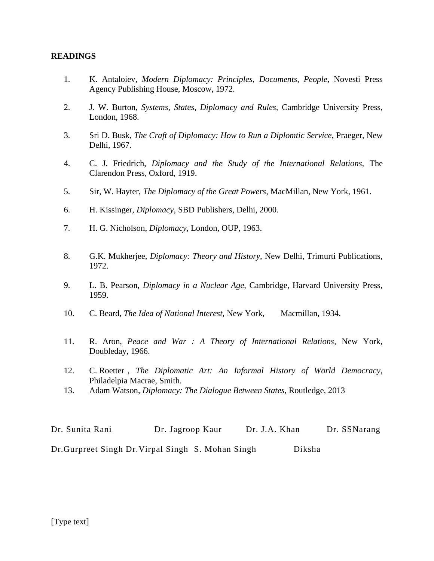- 1. K. Antaloiev, *Modern Diplomacy: Principles, Documents, People,* Novesti Press Agency Publishing House, Moscow, 1972.
- 2. J. W. Burton, *Systems, States, Diplomacy and Rules,* Cambridge University Press, London, 1968.
- 3. Sri D. Busk, *The Craft of Diplomacy: How to Run a Diplomtic Service,* Praeger, New Delhi, 1967.
- 4. C. J. Friedrich, *Diplomacy and the Study of the International Relations,* The Clarendon Press, Oxford, 1919.
- 5. Sir, W. Hayter, *The Diplomacy of the Great Powers,* MacMillan, New York, 1961.
- 6. H. Kissinger, *Diplomacy,* SBD Publishers, Delhi, 2000.
- 7. H. G. Nicholson, *Diplomacy,* London, OUP, 1963.
- 8. G.K. Mukherjee, *Diplomacy: Theory and History,* New Delhi, Trimurti Publications, 1972.
- 9. L. B. Pearson, *Diplomacy in a Nuclear Age,* Cambridge, Harvard University Press, 1959.
- 10. C. Beard, *The Idea of National Interest,* New York, Macmillan, 1934.
- 11. R. Aron, *Peace and War : A Theory of International Relations,* New York, Doubleday, 1966.
- 12. C. Roetter , *The Diplomatic Art: An Informal History of World Democracy,*  Philadelpia Macrae, Smith.
- 13. Adam Watson, *Diplomacy: The Dialogue Between States,* Routledge, 2013

Dr. Sunita Rani Dr. Jagroop Kaur Dr. J.A. Khan Dr. SSNarang Dr.Gurpreet Singh Dr.Virpal Singh S. Mohan Singh Diksha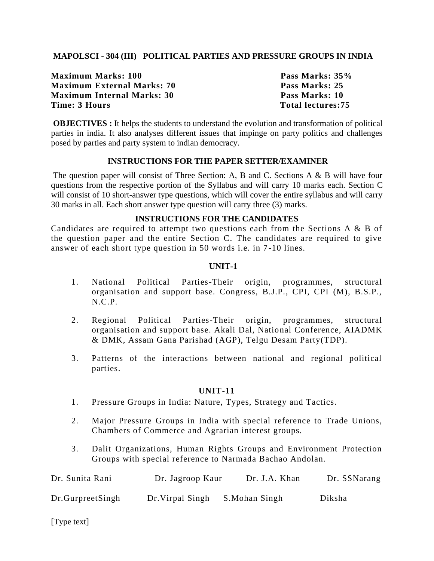# **MAPOLSCI - 304 (III) POLITICAL PARTIES AND PRESSURE GROUPS IN INDIA**

**Maximum Marks: 100 Pass Marks: 35% Maximum External Marks: 70 Pass Marks: 25 Maximum Internal Marks: 30 Pass Marks: 10 Time: 3 Hours Total lectures: 75** 

**OBJECTIVES :** It helps the students to understand the evolution and transformation of political parties in india. It also analyses different issues that impinge on party politics and challenges posed by parties and party system to indian democracy.

# **INSTRUCTIONS FOR THE PAPER SETTER/EXAMINER**

The question paper will consist of Three Section: A, B and C. Sections A & B will have four questions from the respective portion of the Syllabus and will carry 10 marks each. Section C will consist of 10 short-answer type questions, which will cover the entire syllabus and will carry 30 marks in all. Each short answer type question will carry three (3) marks.

# **INSTRUCTIONS FOR THE CANDIDATES**

Candidates are required to attempt two questions each from the Sections A & B of the question paper and the entire Section C. The candidates are required to give answer of each short type question in 50 words i.e. in 7 -10 lines.

# **UNIT-1**

- 1. National Political Parties-Their origin, programmes, structural organisation and support base. Congress, B.J.P., CPI, CPI (M), B.S.P., N.C.P.
- 2. Regional Political Parties-Their origin, programmes, structural organisation and support base. Akali Dal, National Conference, AIADMK & DMK, Assam Gana Parishad (AGP), Telgu Desam Party(TDP).
- 3. Patterns of the interactions between national and regional political parties.

# **UNIT-11**

- 1. Pressure Groups in India: Nature, Types, Strategy and Tactics.
- 2. Major Pressure Groups in India with special reference to Trade Unions, Chambers of Commerce and Agrarian interest groups.
- 3. Dalit Organizations, Human Rights Groups and Environment Protection Groups with special reference to Narmada Bachao Andolan.

| Dr. Sunita Rani    | Dr. Jagroop Kaur | Dr. J.A. Khan | Dr. SSNarang |
|--------------------|------------------|---------------|--------------|
| Dr. Gurpreet Singh | Dr. Virpal Singh | S.Mohan Singh | Diksha       |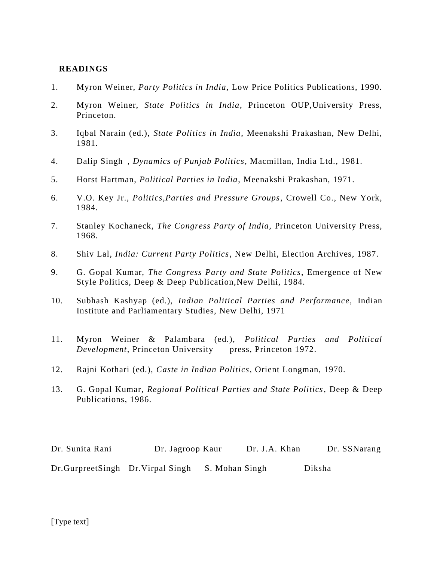- 1. Myron Weiner, *Party Politics in India,* Low Price Politics Publications, 1990.
- 2. Myron Weiner, *State Politics in India*, Princeton OUP,University Press, Princeton.
- 3. Iqbal Narain (ed.), *State Politics in India*, Meenakshi Prakashan, New Delhi, 1981.
- 4. Dalip Singh , *Dynamics of Punjab Politics*, Macmillan, India Ltd., 1981.
- 5. Horst Hartman, *Political Parties in India*, Meenakshi Prakashan, 1971.
- 6. V.O. Key Jr., *Politics,Parties and Pressure Groups*, Crowell Co., New York, 1984.
- 7. Stanley Kochaneck, *The Congress Party of India,* Princeton University Press, 1968.
- 8. Shiv Lal*, India: Current Party Politics*, New Delhi, Election Archives, 1987.
- 9. G. Gopal Kumar, *The Congress Party and State Politics*, Emergence of New Style Politics, Deep & Deep Publication,New Delhi, 1984.
- 10. Subhash Kashyap (ed.), *Indian Political Parties and Performance,* Indian Institute and Parliamentary Studies, New Delhi, 1971
- 11. Myron Weiner & Palambara (ed.), *Political Parties and Political Development,* Princeton University press, Princeton 1972.
- 12. Rajni Kothari (ed.), *Caste in Indian Politics*, Orient Longman, 1970.
- 13. G. Gopal Kumar, *Regional Political Parties and State Politics*, Deep & Deep Publications, 1986.

Dr. Sunita Rani Dr. Jagroop Kaur Dr. J.A. Khan Dr. SSNarang Dr.GurpreetSingh Dr.Virpal Singh S. Mohan Singh Diksha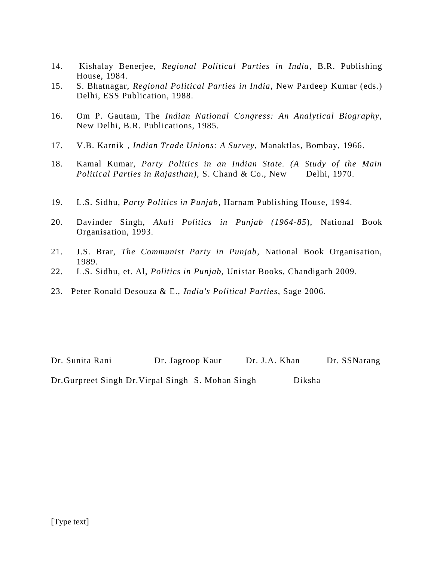- 14. Kishalay Benerjee, *Regional Political Parties in India*, B.R. Publishing House, 1984.
- 15. S. Bhatnagar, *Regional Political Parties in India*, New Pardeep Kumar (eds.) Delhi, ESS Publication, 1988.
- 16. Om P. Gautam, The *Indian National Congress: An Analytical Biography,* New Delhi, B.R. Publications, 1985.
- 17. V.B. Karnik , *Indian Trade Unions: A Survey,* Manaktlas, Bombay, 1966.
- 18. Kamal Kumar, *Party Politics in an Indian State. (A Study of the Main Political Parties in Rajasthan),* S. Chand & Co., New Delhi, 1970.
- 19. L.S. Sidhu, *Party Politics in Punjab*, Harnam Publishing House, 1994.
- 20. Davinder Singh, *Akali Politics in Punjab (1964-85*), National Book Organisation, 1993.
- 21. J.S. Brar, *The Communist Party in Punjab*, National Book Organisation, 1989.
- 22. L.S. Sidhu, et. Al, *Politics in Punjab,* Unistar Books, Chandigarh 2009.
- 23. Peter Ronald Desouza & E., *India's Political Parties*, Sage 2006.

Dr. Sunita Rani Dr. Jagroop Kaur Dr. J.A. Khan Dr. SSNarang Dr.Gurpreet Singh Dr.Virpal Singh S. Mohan Singh Diksha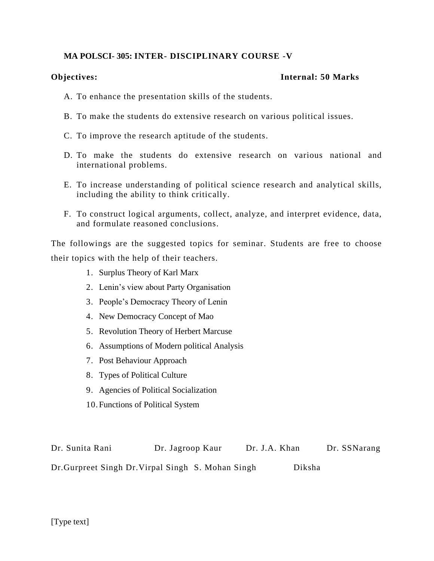# **MA POLSCI- 305: INTER- DISCIPLINARY COURSE -V**

# **Objectives: Internal: 50 Marks**

- A. To enhance the presentation skills of the students.
- B. To make the students do extensive research on various political issues.
- C. To improve the research aptitude of the students.
- D. To make the students do extensive research on various national and international problems.
- E. To increase understanding of political science research and analytical skills, including the ability to think critically.
- F. To construct logical arguments, collect, analyze, and interpret evidence, data, and formulate reasoned conclusions.

The followings are the suggested topics for seminar. Students are free to choose their topics with the help of their teachers.

- 1. Surplus Theory of Karl Marx
- 2. Lenin's view about Party Organisation
- 3. People's Democracy Theory of Lenin
- 4. New Democracy Concept of Mao
- 5. Revolution Theory of Herbert Marcuse
- 6. Assumptions of Modern political Analysis
- 7. Post Behaviour Approach
- 8. Types of Political Culture
- 9. Agencies of Political Socialization
- 10.Functions of Political System

| Dr. Sunita Rani                                    | Dr. Jagroop Kaur | Dr. J.A. Khan | Dr. SSNarang |
|----------------------------------------------------|------------------|---------------|--------------|
| Dr. Gurpreet Singh Dr. Virpal Singh S. Mohan Singh |                  | Diksha        |              |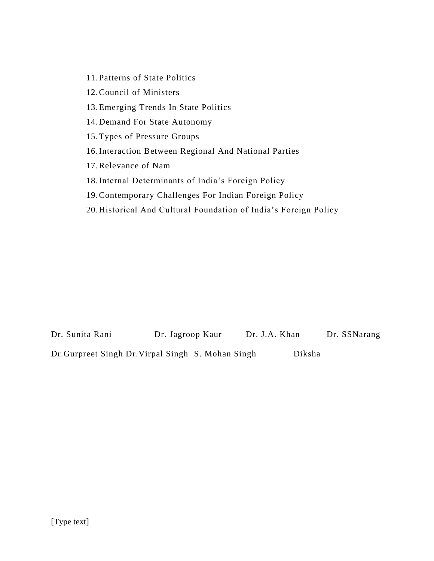11.Patterns of State Politics

12.Council of Ministers

13.Emerging Trends In State Politics

14.Demand For State Autonomy

15.Types of Pressure Groups

16.Interaction Between Regional And National Parties

17.Relevance of Nam

18.Internal Determinants of India's Foreign Policy

19.Contemporary Challenges For Indian Foreign Policy

20.Historical And Cultural Foundation of India's Foreign Policy

Dr. Sunita Rani Dr. Jagroop Kaur Dr. J.A. Khan Dr. SSNarang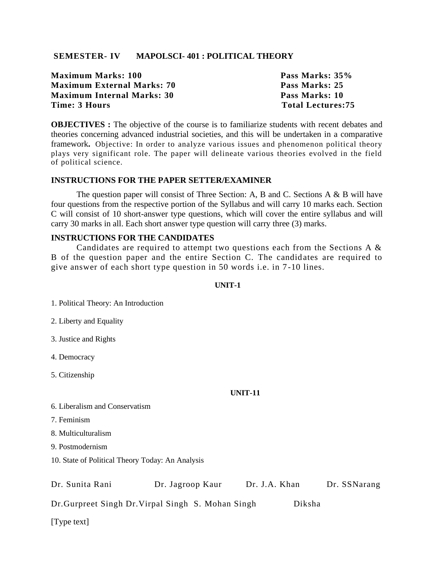# **SEMESTER- IV MAPOLSCI- 401 : POLITICAL THEORY**

|               | Maximum Marks: 100         |
|---------------|----------------------------|
|               | Maximum External Marks: 70 |
|               | Maximum Internal Marks: 30 |
| Time: 3 Hours |                            |

Pass Marks:  $35%$ Pass Marks: 25 **Pass Marks: 10 Total Lectures: 75** 

**OBJECTIVES :** The objective of the course is to familiarize students with recent debates and theories concerning advanced industrial societies, and this will be undertaken in a comparative framework**.** Objective: In order to analyze various issues and phenomenon political theory plays very significant role. The paper will delineate various theories evolved in the field of political science.

# **INSTRUCTIONS FOR THE PAPER SETTER/EXAMINER**

The question paper will consist of Three Section: A, B and C. Sections A  $\&$  B will have four questions from the respective portion of the Syllabus and will carry 10 marks each. Section C will consist of 10 short-answer type questions, which will cover the entire syllabus and will carry 30 marks in all. Each short answer type question will carry three (3) marks.

#### **INSTRUCTIONS FOR THE CANDIDATES**

Candidates are required to attempt two questions each from the Sections A & B of the question paper and the entire Section C. The candidates are required to give answer of each short type question in 50 words i.e. in 7 -10 lines.

#### **UNIT-1**

1. Political Theory: An Introduction

2. Liberty and Equality

3. Justice and Rights

4. Democracy

5. Citizenship

#### **UNIT-11**

#### 6. Liberalism and Conservatism

7. Feminism

8. Multiculturalism

9. Postmodernism

10. State of Political Theory Today: An Analysis

| Dr. Sunita Rani                                    | Dr. Jagroop Kaur | Dr. J.A. Khan |        | Dr. SSNarang |
|----------------------------------------------------|------------------|---------------|--------|--------------|
| Dr. Gurpreet Singh Dr. Virpal Singh S. Mohan Singh |                  |               | Diksha |              |
| [Type text]                                        |                  |               |        |              |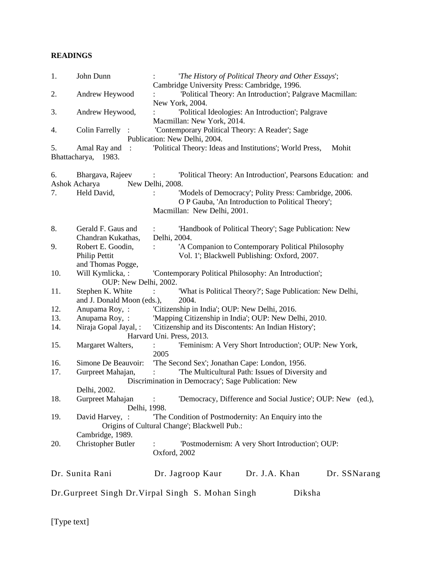| 1.                  | John Dunn                               | 'The History of Political Theory and Other Essays';                                                      |
|---------------------|-----------------------------------------|----------------------------------------------------------------------------------------------------------|
| 2.                  |                                         | Cambridge University Press: Cambridge, 1996.<br>'Political Theory: An Introduction'; Palgrave Macmillan: |
|                     | Andrew Heywood                          | New York, 2004.                                                                                          |
| 3.                  | Andrew Heywood,                         | 'Political Ideologies: An Introduction'; Palgrave                                                        |
|                     |                                         | Macmillan: New York, 2014.                                                                               |
| 4.                  | <b>Colin Farrelly</b>                   | 'Contemporary Political Theory: A Reader'; Sage                                                          |
|                     |                                         | Publication: New Delhi, 2004.                                                                            |
| 5.<br>Bhattacharya, | Amal Ray and<br>$\therefore$<br>1983.   | 'Political Theory: Ideas and Institutions'; World Press,<br>Mohit                                        |
| 6.                  | Bhargava, Rajeev                        | 'Political Theory: An Introduction', Pearsons Education: and                                             |
|                     | Ashok Acharya                           | New Delhi, 2008.                                                                                         |
| 7.                  | Held David,                             | 'Models of Democracy'; Polity Press: Cambridge, 2006.                                                    |
|                     |                                         | O P Gauba, 'An Introduction to Political Theory';                                                        |
|                     |                                         | Macmillan: New Delhi, 2001.                                                                              |
|                     |                                         |                                                                                                          |
| 8.                  | Gerald F. Gaus and                      | 'Handbook of Political Theory'; Sage Publication: New                                                    |
| 9.                  | Chandran Kukathas,<br>Robert E. Goodin, | Delhi, 2004.<br>'A Companion to Contemporary Political Philosophy                                        |
|                     | Philip Pettit                           | Vol. 1'; Blackwell Publishing: Oxford, 2007.                                                             |
|                     | and Thomas Pogge,                       |                                                                                                          |
| 10.                 | Will Kymlicka, :                        | 'Contemporary Political Philosophy: An Introduction';                                                    |
|                     | OUP: New Delhi, 2002.                   |                                                                                                          |
| 11.                 | Stephen K. White                        | 'What is Political Theory?'; Sage Publication: New Delhi,                                                |
|                     | and J. Donald Moon (eds.),              | 2004.                                                                                                    |
| 12.                 | Anupama Roy, :                          | 'Citizenship in India'; OUP: New Delhi, 2016.                                                            |
| 13.                 | Anupama Roy, :                          | 'Mapping Citizenship in India'; OUP: New Delhi, 2010.                                                    |
| 14.                 | Niraja Gopal Jayal, :                   | 'Citizenship and its Discontents: An Indian History';                                                    |
|                     |                                         | Harvard Uni. Press, 2013.                                                                                |
| 15.                 | Margaret Walters,                       | 'Feminism: A Very Short Introduction'; OUP: New York,<br>2005                                            |
| 16.                 | Simone De Beauvoir:                     | 'The Second Sex'; Jonathan Cape: London, 1956.                                                           |
| 17.                 | Gurpreet Mahajan,                       | 'The Multicultural Path: Issues of Diversity and                                                         |
|                     |                                         | Discrimination in Democracy'; Sage Publication: New                                                      |
|                     | Delhi, 2002.                            |                                                                                                          |
| 18.                 | Gurpreet Mahajan<br>Delhi, 1998.        | 'Democracy, Difference and Social Justice'; OUP: New (ed.),                                              |
| 19.                 | David Harvey, :                         | The Condition of Postmodernity: An Enquiry into the                                                      |
|                     |                                         | Origins of Cultural Change'; Blackwell Pub.:                                                             |
|                     | Cambridge, 1989.                        |                                                                                                          |
| 20.                 | <b>Christopher Butler</b>               | 'Postmodernism: A very Short Introduction'; OUP:<br>Oxford, 2002                                         |
|                     |                                         |                                                                                                          |
|                     | Dr. Sunita Rani                         | Dr. J.A. Khan<br>Dr. Jagroop Kaur<br>Dr. SSNarang                                                        |
|                     |                                         | Dr. Gurpreet Singh Dr. Virpal Singh S. Mohan Singh<br>Diksha                                             |
|                     |                                         |                                                                                                          |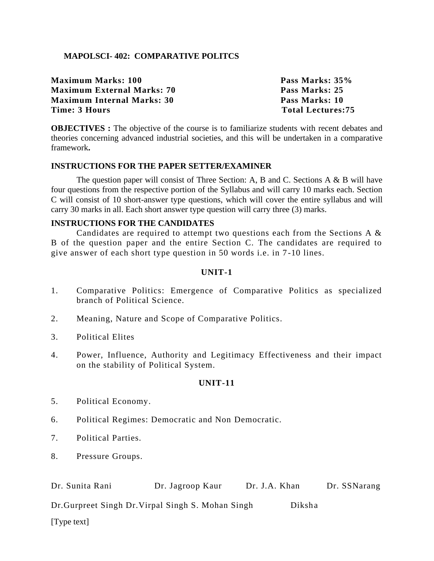# **MAPOLSCI- 402: COMPARATIVE POLITCS**

| Pass Marks: 35%          |
|--------------------------|
| Pass Marks: 25           |
| Pass Marks: 10           |
| <b>Total Lectures:75</b> |
|                          |

**OBJECTIVES**: The objective of the course is to familiarize students with recent debates and theories concerning advanced industrial societies, and this will be undertaken in a comparative framework**.** 

#### **INSTRUCTIONS FOR THE PAPER SETTER/EXAMINER**

The question paper will consist of Three Section: A, B and C. Sections A & B will have four questions from the respective portion of the Syllabus and will carry 10 marks each. Section C will consist of 10 short-answer type questions, which will cover the entire syllabus and will carry 30 marks in all. Each short answer type question will carry three (3) marks.

#### **INSTRUCTIONS FOR THE CANDIDATES**

Candidates are required to attempt two questions each from the Sections A & B of the question paper and the entire Section C. The candidates are required to give answer of each short type question in 50 words i.e. in 7 -10 lines.

# **UNIT-1**

- 1. Comparative Politics: Emergence of Comparative Politics as specialized branch of Political Science.
- 2. Meaning, Nature and Scope of Comparative Politics.
- 3. Political Elites
- 4. Power, Influence, Authority and Legitimacy Effectiveness and their impact on the stability of Political System.

#### **UNIT-11**

- 5. Political Economy.
- 6. Political Regimes: Democratic and Non Democratic.
- 7. Political Parties.
- 8. Pressure Groups.

| Dr. Sunita Rani                                    | Dr. Jagroop Kaur | Dr. J.A. Khan |        | Dr. SSNarang |
|----------------------------------------------------|------------------|---------------|--------|--------------|
| Dr. Gurpreet Singh Dr. Virpal Singh S. Mohan Singh |                  |               | Diksha |              |
| [Type text]                                        |                  |               |        |              |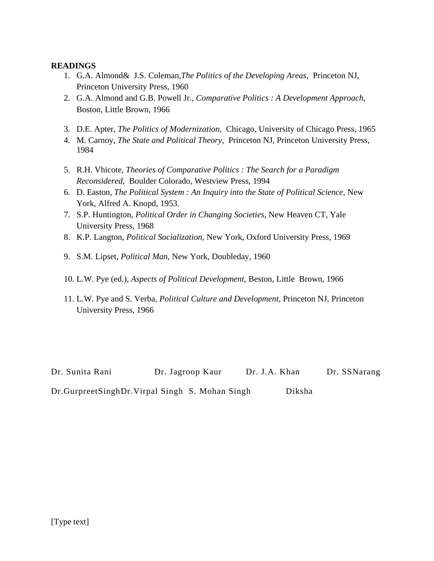- 1. G.A. Almond& J.S. Coleman,*The Politics of the Developing Areas,* Princeton NJ, Princeton University Press, 1960
- 2. G.A. Almond and G.B. Powell Jr., *Comparative Politics : A Development Approach,*  Boston, Little Brown, 1966
- 3. D.E. Apter, *The Politics of Modernization,* Chicago, University of Chicago Press, 1965
- 4. M. Carnoy, *The State and Political Theory,* Princeton NJ, Princeton University Press, 1984
- 5. R.H. Vhicote, *Theories of Comparative Politics : The Search for a Paradigm Reconsidered,* Boulder Colorado, Westview Press, 1994
- 6. D. Easton, *The Political System : An Inquiry into the State of Political Science,* New York, Alfred A. Knopd, 1953.
- 7. S.P. Huntington, *Political Order in Changing Societies,* New Heaven CT, Yale University Press, 1968
- 8. K.P. Langton, *Political Socialization,* New York, Oxford University Press, 1969
- 9. S.M. Lipset, *Political Man,* New York, Doubleday, 1960
- 10. L.W. Pye (ed.), *Aspects of Political Development,* Beston, Little Brown, 1966
- 11. L.W. Pye and S. Verba, *Political Culture and Development,* Princeton NJ, Princeton University Press, 1966

Dr. Sunita Rani Dr. Jagroop Kaur Dr. J.A. Khan Dr. SSNarang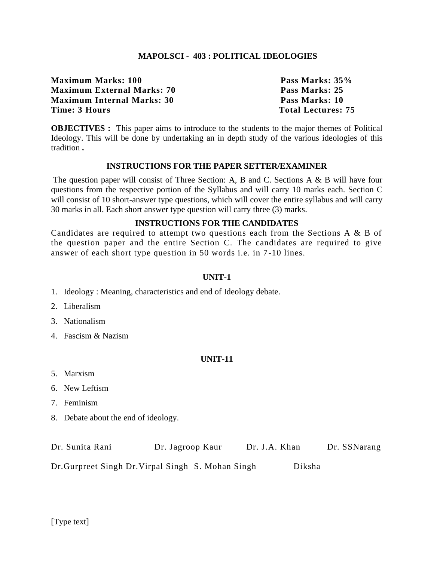# **MAPOLSCI - 403 : POLITICAL IDEOLOGIES**

**Maximum Marks: 100 Pass Marks: 35% Maximum External Marks: 70 Pass Marks: 25 Maximum Internal Marks: 30 Pass Marks: 10 Time: 3 Hours** Total Lectures: 75

**OBJECTIVES :** This paper aims to introduce to the students to the major themes of Political Ideology. This will be done by undertaking an in depth study of the various ideologies of this tradition **.**

#### **INSTRUCTIONS FOR THE PAPER SETTER/EXAMINER**

The question paper will consist of Three Section: A, B and C. Sections A & B will have four questions from the respective portion of the Syllabus and will carry 10 marks each. Section C will consist of 10 short-answer type questions, which will cover the entire syllabus and will carry 30 marks in all. Each short answer type question will carry three (3) marks.

# **INSTRUCTIONS FOR THE CANDIDATES**

Candidates are required to attempt two questions each from the Sections A & B of the question paper and the entire Section C. The candidates are required to give answer of each short type question in 50 words i.e. in 7 -10 lines.

# **UNIT-1**

- 1. Ideology : Meaning, characteristics and end of Ideology debate.
- 2. Liberalism
- 3. Nationalism
- 4. Fascism & Nazism

#### **UNIT-11**

- 5. Marxism
- 6. New Leftism
- 7. Feminism
- 8. Debate about the end of ideology.

| Dr. Sunita Rani | Dr. Jagroop Kaur | Dr. J.A. Khan | Dr. SSNarang |
|-----------------|------------------|---------------|--------------|
|-----------------|------------------|---------------|--------------|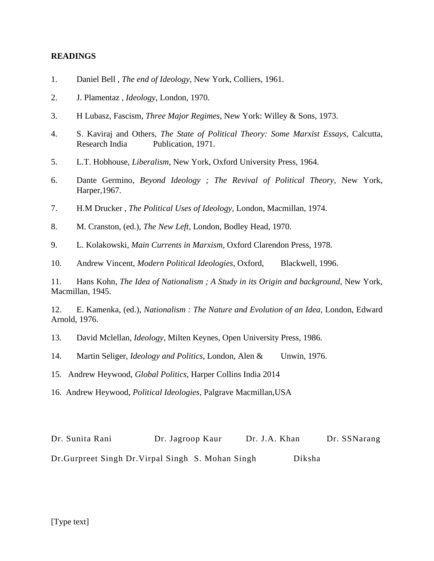- 1. Daniel Bell , *The end of Ideology*, New York, Colliers, 1961.
- 2. J. Plamentaz , *Ideology*, London, 1970.
- 3. H Lubasz, Fascism, *Three Major Regimes*, New York: Willey & Sons, 1973.
- 4. S. Kaviraj and Others, *The State of Political Theory: Some Marxist Essays,* Calcutta, Research India Publication, 1971.
- 5. L.T. Hobhouse, *Liberalism*, New York, Oxford University Press, 1964.
- 6. Dante Germino, *Beyond Ideology ; The Revival of Political Theory,* New York, Harper,1967.
- 7. H.M Drucker , *The Political Uses of Ideology,* London, Macmillan, 1974.
- 8. M. Cranston, (ed.), *The New Left*, London, Bodley Head, 1970.
- 9. L. Kolakowski, *Main Currents in Marxism*, Oxford Clarendon Press, 1978.
- 10. Andrew Vincent, *Modern Political Ideologies*, Oxford, Blackwell, 1996.

11. Hans Kohn, *The Idea of Nationalism ; A Study in its Origin and background*, New York, Macmillan, 1945.

12. E. Kamenka, (ed.), *Nationalism : The Nature and Evolution of an Idea*, London, Edward Arnold, 1976.

- 13. David Mclellan, *Ideology*, Milten Keynes, Open University Press, 1986.
- 14. Martin Seliger, *Ideology and Politics*, London, Alen & Unwin, 1976.
- 15. Andrew Heywood, *Global Politics,* Harper Collins India 2014
- 16. Andrew Heywood, *Political Ideologies,* Palgrave Macmillan,USA

Dr. Sunita Rani Dr. Jagroop Kaur Dr. J.A. Khan Dr. SSNarang Dr.Gurpreet Singh Dr.Virpal Singh S. Mohan Singh Diksha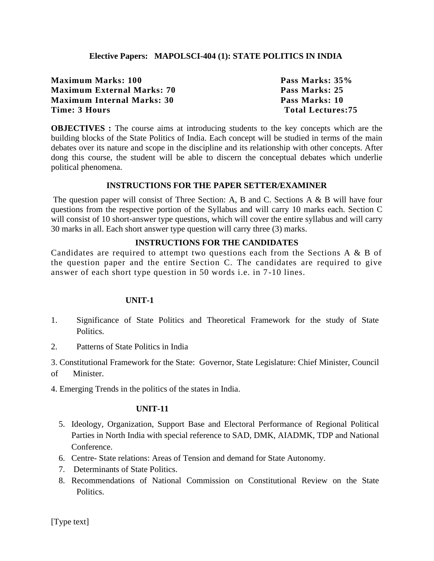# **Elective Papers: MAPOLSCI-404 (1): STATE POLITICS IN INDIA**

| Pass Marks: 35%          |
|--------------------------|
| Pass Marks: 25           |
| Pass Marks: 10           |
| <b>Total Lectures:75</b> |
|                          |

**OBJECTIVES**: The course aims at introducing students to the key concepts which are the building blocks of the State Politics of India. Each concept will be studied in terms of the main debates over its nature and scope in the discipline and its relationship with other concepts. After dong this course, the student will be able to discern the conceptual debates which underlie political phenomena.

# **INSTRUCTIONS FOR THE PAPER SETTER/EXAMINER**

The question paper will consist of Three Section: A, B and C. Sections A & B will have four questions from the respective portion of the Syllabus and will carry 10 marks each. Section C will consist of 10 short-answer type questions, which will cover the entire syllabus and will carry 30 marks in all. Each short answer type question will carry three (3) marks.

# **INSTRUCTIONS FOR THE CANDIDATES**

Candidates are required to attempt two questions each from the Sections A & B of the question paper and the entire Section C. The candidates are required to give answer of each short type question in 50 words i.e. in 7 -10 lines.

#### **UNIT-1**

- 1. Significance of State Politics and Theoretical Framework for the study of State Politics.
- 2. Patterns of State Politics in India
- 3. Constitutional Framework for the State: Governor, State Legislature: Chief Minister, Council
- of Minister.

4. Emerging Trends in the politics of the states in India.

#### **UNIT-11**

- 5. Ideology, Organization, Support Base and Electoral Performance of Regional Political Parties in North India with special reference to SAD, DMK, AIADMK, TDP and National Conference.
- 6. Centre- State relations: Areas of Tension and demand for State Autonomy.
- 7. Determinants of State Politics.
- 8. Recommendations of National Commission on Constitutional Review on the State Politics.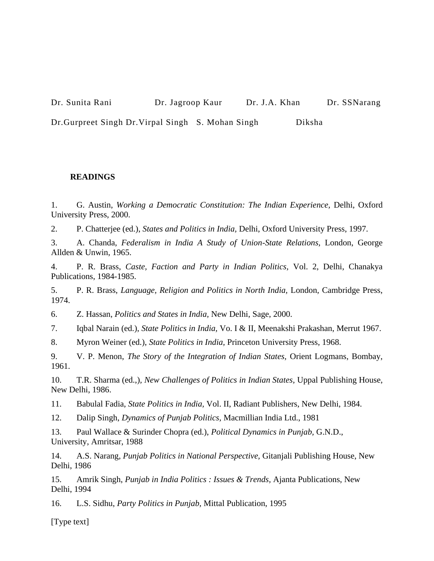Dr. Sunita Rani Dr. Jagroop Kaur Dr. J.A. Khan Dr. SSNarang

Dr.Gurpreet Singh Dr.Virpal Singh S. Mohan Singh Diksha

# **READINGS**

1. G. Austin, *Working a Democratic Constitution: The Indian Experience,* Delhi, Oxford University Press, 2000.

2. P. Chatterjee (ed.), *States and Politics in India,* Delhi, Oxford University Press, 1997.

3. A. Chanda, *Federalism in India A Study of Union-State Relations,* London, George Allden & Unwin, 1965.

4. P. R. Brass, *Caste, Faction and Party in Indian Politics,* Vol. 2, Delhi, Chanakya Publications, 1984-1985.

5. P. R. Brass, *Language, Religion and Politics in North India,* London, Cambridge Press, 1974.

6. Z. Hassan, *Politics and States in India,* New Delhi, Sage, 2000.

7. Iqbal Narain (ed.), *State Politics in India,* Vo. I & II, Meenakshi Prakashan, Merrut 1967.

8. Myron Weiner (ed.), *State Politics in India,* Princeton University Press, 1968.

9. V. P. Menon, *The Story of the Integration of Indian States,* Orient Logmans, Bombay, 1961.

10. T.R. Sharma (ed.,)*, New Challenges of Politics in Indian States,* Uppal Publishing House, New Delhi, 1986.

11. Babulal Fadia, *State Politics in India,* Vol. II, Radiant Publishers, New Delhi, 1984.

12. Dalip Singh, *Dynamics of Punjab Politics,* Macmillian India Ltd., 1981

13. Paul Wallace & Surinder Chopra (ed.), *Political Dynamics in Punjab,* G.N.D., University, Amritsar, 1988

14. A.S. Narang, *Punjab Politics in National Perspective,* Gitanjali Publishing House, New Delhi, 1986

15. Amrik Singh, *Punjab in India Politics : Issues & Trends,* Ajanta Publications, New Delhi, 1994

16. L.S. Sidhu, *Party Politics in Punjab,* Mittal Publication, 1995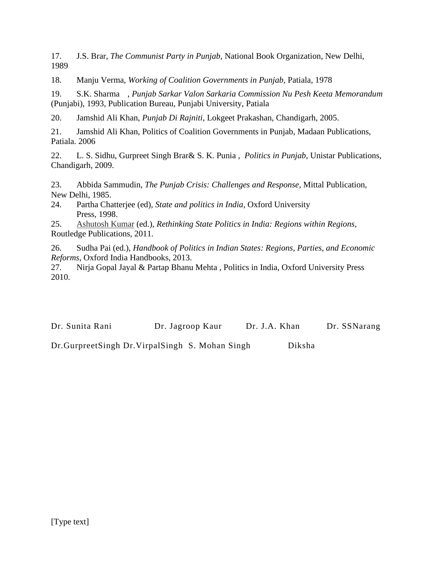17. J.S. Brar, *The Communist Party in Punjab,* National Book Organization, New Delhi, 1989

18. Manju Verma, *Working of Coalition Governments in Punjab,* Patiala, 1978

19. S.K. Sharma , *Punjab Sarkar Valon Sarkaria Commission Nu Pesh Keeta Memorandum*  (Punjabi), 1993, Publication Bureau, Punjabi University, Patiala

20. Jamshid Ali Khan, *Punjab Di Rajniti,* Lokgeet Prakashan, Chandigarh, 2005.

21. Jamshid Ali Khan, Politics of Coalition Governments in Punjab, Madaan Publications, Patiala. 2006

22. L. S. Sidhu, Gurpreet Singh Brar& S. K. Punia , *Politics in Punjab*, Unistar Publications, Chandigarh, 2009.

23. Abbida Sammudin, *The Punjab Crisis: Challenges and Response,* Mittal Publication, New Delhi, 1985.

24. Partha Chatterjee (ed), *State and politics in India,* Oxford University Press, 1998.

25. [Ashutosh Kumar](http://www.amazon.in/s/ref=dp_byline_sr_book_1?ie=UTF8&field-author=Ashutosh+Kumar&search-alias=stripbooks) (ed.), *Rethinking State Politics in India: Regions within Regions,*  Routledge Publications, 2011.

26. [Sudha Pai](http://www.amazon.in/s/ref=dp_byline_sr_book_1?ie=UTF8&field-author=Sudha+Pai&search-alias=stripbooks) (ed.), *Handbook of Politics in Indian States: Regions, Parties, and Economic Reforms*, Oxford India Handbooks, 2013.

27. Nirja Gopal Jayal & Partap Bhanu Mehta , Politics in India, Oxford University Press 2010.

Dr. Sunita Rani Dr. Jagroop Kaur Dr. J.A. Khan Dr. SSNarang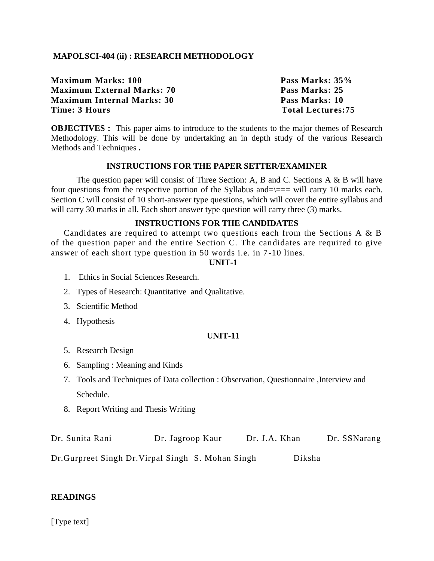# **MAPOLSCI-404 (ii) : RESEARCH METHODOLOGY**

**Maximum Marks: 100 Pass Marks: 35% Maximum External Marks: 70 Pass Marks: 25 Maximum Internal Marks: 30 Pass Marks: 10 Time: 3 Hours Total Lectures: 75** 

**OBJECTIVES :** This paper aims to introduce to the students to the major themes of Research Methodology. This will be done by undertaking an in depth study of the various Research Methods and Techniques **.**

#### **INSTRUCTIONS FOR THE PAPER SETTER/EXAMINER**

The question paper will consist of Three Section: A, B and C. Sections A & B will have four questions from the respective portion of the Syllabus and= $\equiv$ == will carry 10 marks each. Section C will consist of 10 short-answer type questions, which will cover the entire syllabus and will carry 30 marks in all. Each short answer type question will carry three (3) marks.

# **INSTRUCTIONS FOR THE CANDIDATES**

Candidates are required to attempt two questions each from the Sections A & B of the question paper and the entire Section C. The candidates are required to give answer of each short type question in 50 words i.e. in 7 -10 lines.

#### **UNIT-1**

- 1. Ethics in Social Sciences Research.
- 2. Types of Research: Quantitative and Qualitative.
- 3. Scientific Method
- 4. Hypothesis

#### **UNIT-11**

- 5. Research Design
- 6. Sampling : Meaning and Kinds
- 7. Tools and Techniques of Data collection : Observation, Questionnaire ,Interview and Schedule.
- 8. Report Writing and Thesis Writing

| Dr. Sunita Rani | Dr. Jagroop Kaur                                   | Dr. J.A. Khan | Dr. SSNarang |
|-----------------|----------------------------------------------------|---------------|--------------|
|                 | Dr. Gurpreet Singh Dr. Virpal Singh S. Mohan Singh |               | Diksha       |

# **READINGS**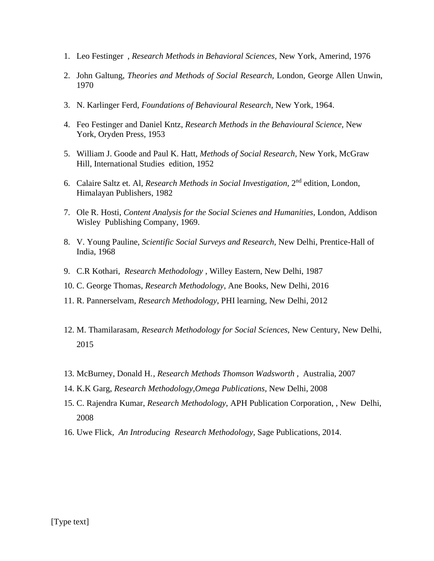- 1. Leo Festinger , *Research Methods in Behavioral Sciences,* New York, Amerind, 1976
- 2. John Galtung, *Theories and Methods of Social Research,* London, George Allen Unwin, 1970
- 3. N. Karlinger Ferd, *Foundations of Behavioural Research,* New York, 1964.
- 4. Feo Festinger and Daniel Kntz*, Research Methods in the Behavioural Science,* New York, Oryden Press, 1953
- 5. William J. Goode and Paul K. Hatt, *Methods of Social Research,* New York, McGraw Hill, International Studies edition, 1952
- 6. Calaire Saltz et. Al, *Research Methods in Social Investigation*, 2<sup>nd</sup> edition, London, Himalayan Publishers, 1982
- 7. Ole R. Hosti, *Content Analysis for the Social Scienes and Humanities,* London, Addison Wisley Publishing Company, 1969.
- 8. V. Young Pauline, *Scientific Social Surveys and Research,* New Delhi, Prentice-Hall of India, 1968
- 9. C.R Kothari, *Research Methodology* , Willey Eastern, New Delhi, 1987
- 10. C. George Thomas, *Research Methodology*, Ane Books, New Delhi, 2016
- 11. R. Pannerselvam, *Research Methodology*, PHI learning, New Delhi, 2012
- 12. M. Thamilarasam, *Research Methodology for Social Sciences,* New Century, New Delhi, 2015
- 13. McBurney, Donald H., *Research Methods Thomson Wadsworth* , Australia, 2007
- 14. K.K Garg, *Research Methodology,Omega Publications*, New Delhi, 2008
- 15. C. Rajendra Kumar, *Research Methodology*, APH Publication Corporation, , New Delhi, 2008
- 16. Uwe Flick, *An Introducing Research Methodology,* Sage Publications, 2014.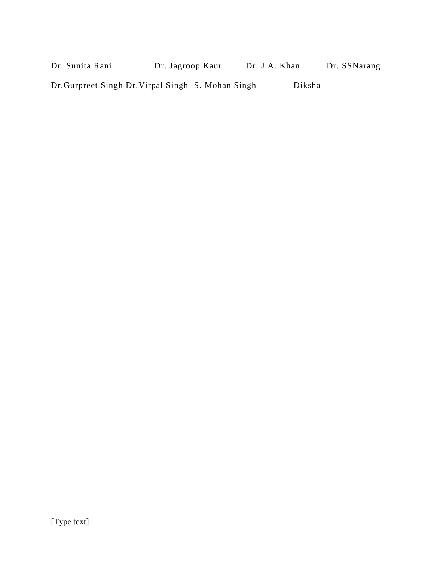| Dr. Sunita Rani                                    | Dr. Jagroop Kaur | Dr. J.A. Khan | Dr. SSNarang |
|----------------------------------------------------|------------------|---------------|--------------|
| Dr. Gurpreet Singh Dr. Virpal Singh S. Mohan Singh |                  | Diksha        |              |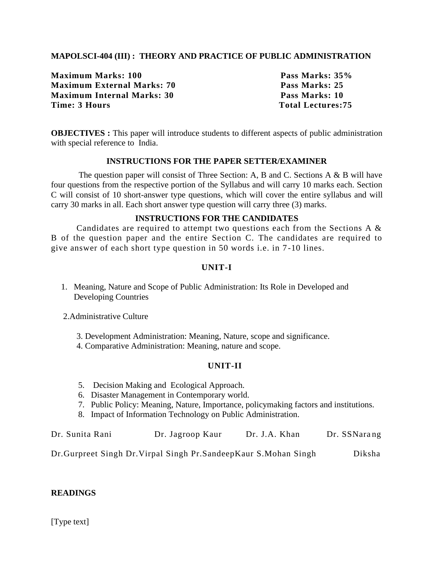# **MAPOLSCI-404 (III) : THEORY AND PRACTICE OF PUBLIC ADMINISTRATION**

**Maximum Marks: 100 Pass Marks: 35% Maximum External Marks: 70 Pass Marks: 25 Maximum Internal Marks: 30 Pass Marks: 10 Time: 3 Hours Total Lectures: 75** 

**OBJECTIVES** : This paper will introduce students to different aspects of public administration with special reference to India.

# **INSTRUCTIONS FOR THE PAPER SETTER/EXAMINER**

The question paper will consist of Three Section: A, B and C. Sections A & B will have four questions from the respective portion of the Syllabus and will carry 10 marks each. Section C will consist of 10 short-answer type questions, which will cover the entire syllabus and will carry 30 marks in all. Each short answer type question will carry three (3) marks.

# **INSTRUCTIONS FOR THE CANDIDATES**

Candidates are required to attempt two questions each from the Sections A & B of the question paper and the entire Section C. The candidates are required to give answer of each short type question in 50 words i.e. in 7 -10 lines.

# **UNIT-I**

1. Meaning, Nature and Scope of Public Administration: Its Role in Developed and Developing Countries

2.Administrative Culture

3. Development Administration: Meaning, Nature, scope and significance.

4. Comparative Administration: Meaning, nature and scope.

# **UNIT-II**

- 5. Decision Making and Ecological Approach.
- 6. Disaster Management in Contemporary world.
- 7. Public Policy: Meaning, Nature, Importance, policymaking factors and institutions.
- 8. Impact of Information Technology on Public Administration.

| Dr. Sunita Rani | Dr. Jagroop Kaur | Dr. J.A. Khan | Dr. SSNarang |
|-----------------|------------------|---------------|--------------|
|                 |                  |               |              |

Dr.Gurpreet Singh Dr.Virpal Singh Pr.SandeepKaur S.Mohan Singh Diksha

# **READINGS**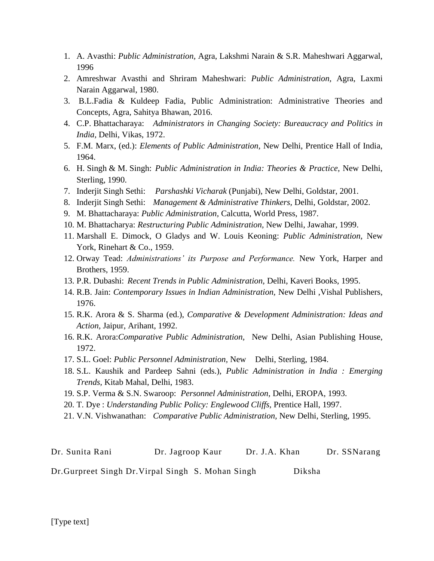- 1. A. Avasthi: *Public Administration,* Agra, Lakshmi Narain & S.R. Maheshwari Aggarwal, 1996
- 2. Amreshwar Avasthi and Shriram Maheshwari: *Public Administration,* Agra, Laxmi Narain Aggarwal, 1980.
- 3. B.L.Fadia & Kuldeep Fadia, Public Administration: Administrative Theories and Concepts, Agra, Sahitya Bhawan, 2016.
- 4. C.P. Bhattacharaya: *Administrators in Changing Society: Bureaucracy and Politics in India,* Delhi, Vikas, 1972.
- 5. F.M. Marx, (ed.): *Elements of Public Administration,* New Delhi, Prentice Hall of India, 1964.
- 6. H. Singh & M. Singh: *Public Administration in India: Theories & Practice,* New Delhi, Sterling, 1990.
- 7. Inderjit Singh Sethi: *Parshashki Vicharak* (Punjabi), New Delhi, Goldstar, 2001.
- 8. Inderjit Singh Sethi: *Management & Administrative Thinkers,* Delhi, Goldstar, 2002.
- 9. M. Bhattacharaya: *Public Administration,* Calcutta, World Press, 1987.
- 10. M. Bhattacharya: *Restructuring Public Administration,* New Delhi, Jawahar, 1999.
- 11. Marshall E. Dimock, O Gladys and W. Louis Keoning: *Public Administration,* New York, Rinehart & Co., 1959.
- 12. Orway Tead: *Administrations' its Purpose and Performance.* New York, Harper and Brothers, 1959.
- 13. P.R. Dubashi: *Recent Trends in Public Administration,* Delhi, Kaveri Books, 1995.
- 14. R.B. Jain: *Contemporary Issues in Indian Administration,* New Delhi ,Vishal Publishers, 1976.
- 15. R.K. Arora & S. Sharma (ed.), *Comparative & Development Administration: Ideas and Action,* Jaipur, Arihant, 1992.
- 16. R.K. Arora:*Comparative Public Administration,* New Delhi, Asian Publishing House, 1972.
- 17. S.L. Goel: *Public Personnel Administration,* New Delhi, Sterling, 1984.
- 18. S.L. Kaushik and Pardeep Sahni (eds.), *Public Administration in India : Emerging Trends,* Kitab Mahal, Delhi, 1983.
- 19. S.P. Verma & S.N. Swaroop: *Personnel Administration,* Delhi, EROPA, 1993.
- 20. T. Dye : *Understanding Public Policy: Englewood Cliffs,* Prentice Hall, 1997.
- 21. V.N. Vishwanathan: *Comparative Public Administration,* New Delhi, Sterling, 1995.

| Dr. Sunita Rani                                    | Dr. Jagroop Kaur | Dr. J.A. Khan |        | Dr. SSNarang |
|----------------------------------------------------|------------------|---------------|--------|--------------|
| Dr. Gurpreet Singh Dr. Virpal Singh S. Mohan Singh |                  |               | Diksha |              |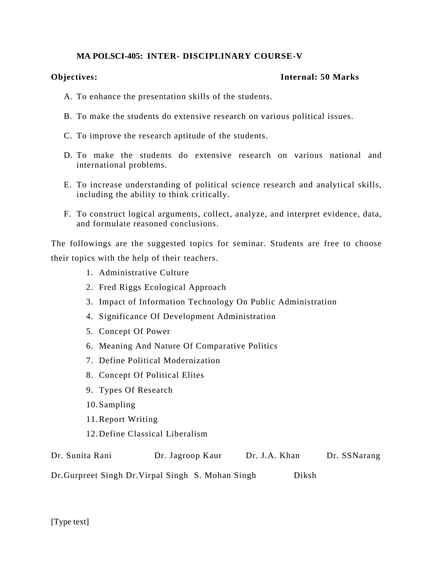# **MA POLSCI-405: INTER- DISCIPLINARY COURSE-V**

# **Objectives: Internal: 50 Marks**

- A. To enhance the presentation skills of the students.
- B. To make the students do extensive research on various political issues.
- C. To improve the research aptitude of the students.
- D. To make the students do extensive research on various national and international problems.
- E. To increase understanding of political science research and analytical skills, including the ability to think critically.
- F. To construct logical arguments, collect, analyze, and interpret evidence, data, and formulate reasoned conclusions.

The followings are the suggested topics for seminar. Students are free to choose their topics with the help of their teachers.

- 1. Administrative Culture
- 2. Fred Riggs Ecological Approach
- 3. Impact of Information Technology On Public Administration
- 4. Significance Of Development Administration
- 5. Concept Of Power
- 6. Meaning And Nature Of Comparative Politics
- 7. Define Political Modernization
- 8. Concept Of Political Elites
- 9. Types Of Research
- 10.Sampling
- 11.Report Writing
- 12.Define Classical Liberalism

| Dr. Sunita Rani | Dr. Jagroop Kaur | Dr. J.A. Khan | Dr. SSNarang |
|-----------------|------------------|---------------|--------------|
|                 |                  |               |              |